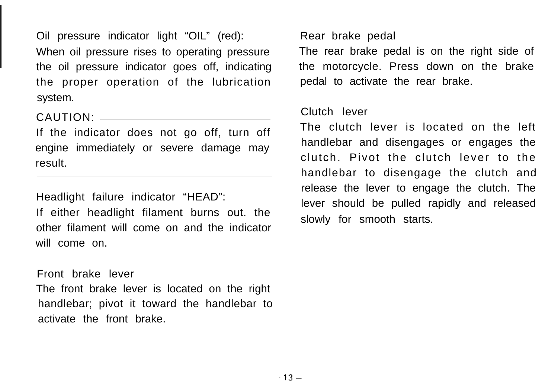Oil pressure indicator light "OIL" (red): When oil pressure rises to operating pressure the oil pressure indicator goes off, indicating the proper operation of the lubrication system.

CAUTION:

If the indicator does not go off, turn off engine immediately or severe damage may result.

Headlight failure indicator "HEAD":

If either headlight filament burns out. the other filament will come on and the indicator will come on.

#### Front brake lever

The front brake lever is located on the right handlebar; pivot it toward the handlebar to activate the front brake.

Rear brake pedal

The rear brake pedal is on the right side of the motorcycle. Press down on the brake pedal to activate the rear brake.

### Clutch lever

The clutch lever is located on the left handlebar and disengages or engages the clutch. Pivot the clutch lever to the handlebar to disengage the clutch and release the lever to engage the clutch. The lever should be pulled rapidly and released slowly for smooth starts.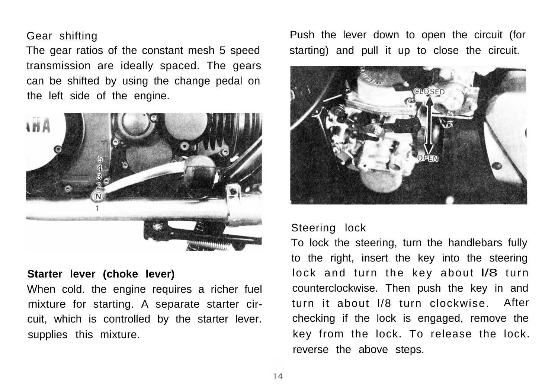#### Gear shifting

The gear ratios of the constant mesh 5 speed transmission are ideally spaced. The gears can be shifted by using the change pedal on the left side of the engine.



#### **Starter lever (choke lever)**

When cold. the engine requires a richer fuel mixture for starting. A separate starter circuit, which is controlled by the starter lever. supplies this mixture.

Push the lever down to open the circuit (for starting) and pull it up to close the circuit.



## Steering lock

To lock the steering, turn the handlebars fully to the right, insert the key into the steering lock and turn the key about I/8 turn counterclockwise. Then push the key in and turn it about l/8 turn clockwise. After checking if the lock is engaged, remove the key from the lock. To release the lock. reverse the above steps.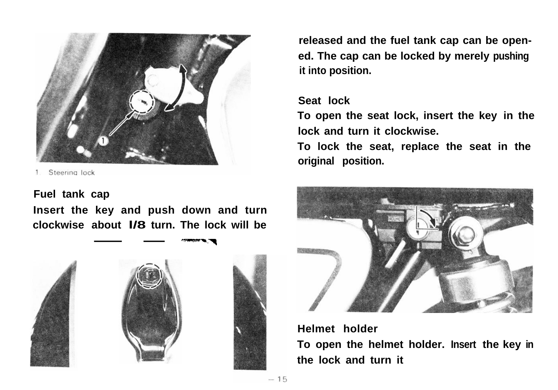

# **Fuel tank cap**

**Insert the key and push down and turn clockwise about l/8 turn. The lock will be cap**<br> **key and push down**<br> **about I/8 turn. The local contract of the state of the state of the state of the state of the state of the state of the state of the state of the state of the state of the state of the state of** 



**released and the fuel tank cap can be opened. The cap can be locked by merely pushing it into position.**

# **Seat lock**

**To open the seat lock, insert the key in the lock and turn it clockwise.**

**To lock the seat, replace the seat in the original position.**



# **Helmet holder**

**To open the helmet holder. Insert the key in** the lock and turn it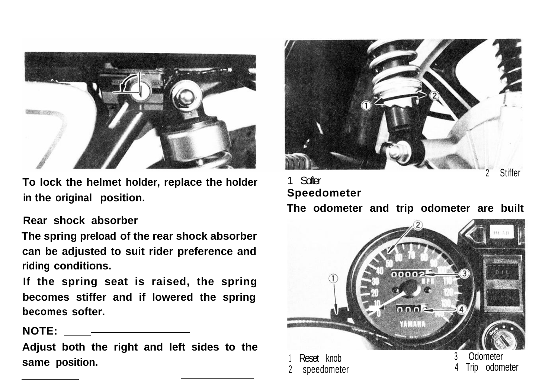

**in the original position.** 

# **Rear shock absorber**

**The spring preload of the rear shock absorber can be adjusted to suit rider preference and riding conditions.**

**If the spring seat is raised, the spring becomes stiffer and if lowered the spring becomes softer.**

**NOTE: \_**

**Adjust both the right and left sides to the**



# To lock the helmet holder, replace the holder  $\frac{1}{2}$  Stiffer<br>in the existent position **The odometer and trip odometer are built**